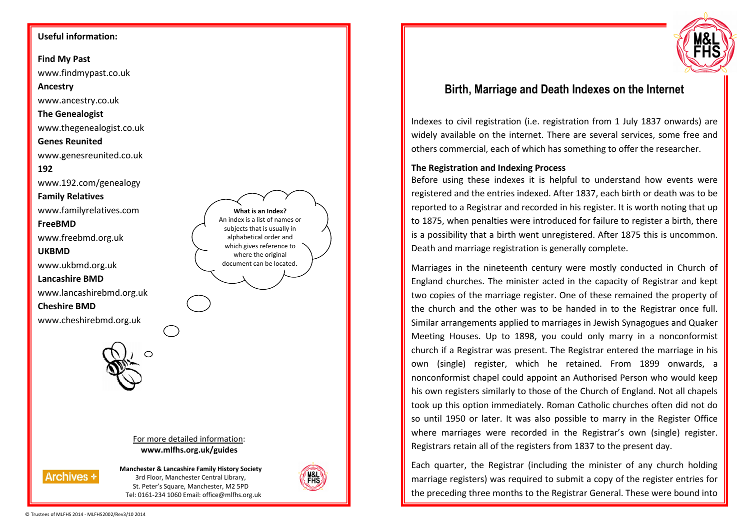### **Useful information:**

**Find My Past** 

www.findmypast.co.uk

### **Ancestry**

www.ancestry.co.uk

## **The Genealogist**

www.thegenealogist.co.uk

### **Genes Reunited**

www.genesreunited.co.uk

## **192**

www.192.com/genealogy

**Family Relatives**

www.familyrelatives.com

## **FreeBMD**

www.freebmd.org.uk

**UKBMD** 

www.ukbmd.org.uk

**Lancashire BMD** 

www.lancashirebmd.org.uk

**Cheshire BMD** 

www.cheshirebmd.org.uk



For more detailed information: **www.mlfhs.org.uk/guides** 



**Manchester & Lancashire Family History Society** 3rd Floor, Manchester Central Library, St. Peter's Square, Manchester, M2 5PD Tel: 0161-234 1060 Email: office@mlfhs.org.uk



**What is an Index?** An index is a list of names or subjects that is usually in alphabetical order and which gives reference to where the original document can be located.



# **Birth, Marriage and Death Indexes on the Internet**

Indexes to civil registration (i.e. registration from 1 July 1837 onwards) are widely available on the internet. There are several services, some free and others commercial, each of which has something to offer the researcher.

## **The Registration and Indexing Process**

Before using these indexes it is helpful to understand how events were registered and the entries indexed. After 1837, each birth or death was to be reported to a Registrar and recorded in his register. It is worth noting that up to 1875, when penalties were introduced for failure to register a birth, there is a possibility that a birth went unregistered. After 1875 this is uncommon. Death and marriage registration is generally complete.

Marriages in the nineteenth century were mostly conducted in Church of England churches. The minister acted in the capacity of Registrar and kept two copies of the marriage register. One of these remained the property of the church and the other was to be handed in to the Registrar once full. Similar arrangements applied to marriages in Jewish Synagogues and Quaker Meeting Houses. Up to 1898, you could only marry in a nonconformist church if a Registrar was present. The Registrar entered the marriage in his own (single) register, which he retained. From 1899 onwards, a nonconformist chapel could appoint an Authorised Person who would keep his own registers similarly to those of the Church of England. Not all chapels took up this option immediately. Roman Catholic churches often did not do so until 1950 or later. It was also possible to marry in the Register Office where marriages were recorded in the Registrar's own (single) register. Registrars retain all of the registers from 1837 to the present day.

Each quarter, the Registrar (including the minister of any church holding marriage registers) was required to submit a copy of the register entries for the preceding three months to the Registrar General. These were bound into